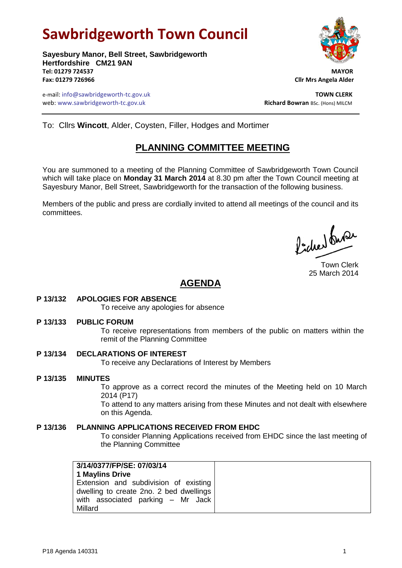# **Sawbridgeworth Town Council**

**Sayesbury Manor, Bell Street, Sawbridgeworth Hertfordshire CM21 9AN Tel: 01279 724537 MAYOR Fax: 01279 726966 Cllr Mrs Angela Alder**

e-mail: info@sawbridgeworth-tc.gov.uk **TOWN CLERK** web: www.sawbridgeworth-tc.gov.uk<br> **Richard Bowran** BSc. (Hons) MILCM



To: Cllrs **Wincott**, Alder, Coysten, Filler, Hodges and Mortimer

# **PLANNING COMMITTEE MEETING**

You are summoned to a meeting of the Planning Committee of Sawbridgeworth Town Council which will take place on **Monday 31 March 2014** at 8.30 pm after the Town Council meeting at Sayesbury Manor, Bell Street, Sawbridgeworth for the transaction of the following business.

Members of the public and press are cordially invited to attend all meetings of the council and its committees.

Poches buse

Town Clerk 25 March 2014

## **AGENDA**

## **P 13/132 APOLOGIES FOR ABSENCE**

To receive any apologies for absence

## **P 13/133 PUBLIC FORUM**

To receive representations from members of the public on matters within the remit of the Planning Committee

## **P 13/134 DECLARATIONS OF INTEREST**

To receive any Declarations of Interest by Members

## **P 13/135 MINUTES**

To approve as a correct record the minutes of the Meeting held on 10 March 2014 (P17)

To attend to any matters arising from these Minutes and not dealt with elsewhere on this Agenda.

## **P 13/136 PLANNING APPLICATIONS RECEIVED FROM EHDC**

To consider Planning Applications received from EHDC since the last meeting of the Planning Committee

| 3/14/0377/FP/SE: 07/03/14               |
|-----------------------------------------|
| <b>1 Maylins Drive</b>                  |
| Extension and subdivision of existing   |
| dwelling to create 2no. 2 bed dwellings |
| with associated parking $-$ Mr Jack     |
| Millard                                 |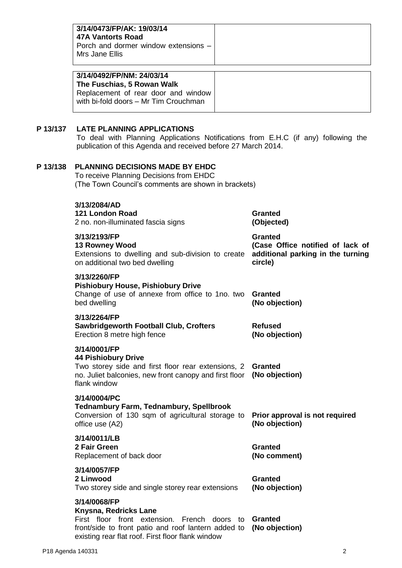|          | 3/14/0473/FP/AK: 19/03/14<br><b>47A Vantorts Road</b><br>Porch and dormer window extensions -<br>Mrs Jane Ellis<br>3/14/0492/FP/NM: 24/03/14<br>The Fuschias, 5 Rowan Walk                                               |                                                                                                    |  |
|----------|--------------------------------------------------------------------------------------------------------------------------------------------------------------------------------------------------------------------------|----------------------------------------------------------------------------------------------------|--|
|          | Replacement of rear door and window<br>with bi-fold doors - Mr Tim Crouchman                                                                                                                                             |                                                                                                    |  |
| P 13/137 | <b>LATE PLANNING APPLICATIONS</b><br>To deal with Planning Applications Notifications from E.H.C (if any) following the<br>publication of this Agenda and received before 27 March 2014.                                 |                                                                                                    |  |
| P 13/138 | <b>PLANNING DECISIONS MADE BY EHDC</b><br>To receive Planning Decisions from EHDC<br>(The Town Council's comments are shown in brackets)                                                                                 |                                                                                                    |  |
|          | 3/13/2084/AD<br>121 London Road<br>2 no. non-illuminated fascia signs                                                                                                                                                    | <b>Granted</b><br>(Objected)                                                                       |  |
|          | 3/13/2193/FP<br><b>13 Rowney Wood</b><br>Extensions to dwelling and sub-division to create<br>on additional two bed dwelling                                                                                             | <b>Granted</b><br>(Case Office notified of lack of<br>additional parking in the turning<br>circle) |  |
|          | 3/13/2260/FP<br><b>Pishiobury House, Pishiobury Drive</b><br>Change of use of annexe from office to 1no. two<br>bed dwelling                                                                                             | <b>Granted</b><br>(No objection)                                                                   |  |
|          | 3/13/2264/FP<br><b>Sawbridgeworth Football Club, Crofters</b><br>Erection 8 metre high fence                                                                                                                             | <b>Refused</b><br>(No objection)                                                                   |  |
|          | 3/14/0001/FP<br><b>44 Pishiobury Drive</b><br>Two storey side and first floor rear extensions, 2<br>no. Juliet balconies, new front canopy and first floor<br>flank window                                               | <b>Granted</b><br>(No objection)                                                                   |  |
|          | 3/14/0004/PC<br><b>Tednambury Farm, Tednambury, Spellbrook</b><br>Conversion of 130 sqm of agricultural storage to<br>office use (A2)                                                                                    | Prior approval is not required<br>(No objection)                                                   |  |
|          | 3/14/0011/LB<br>2 Fair Green<br>Replacement of back door                                                                                                                                                                 | <b>Granted</b><br>(No comment)                                                                     |  |
|          | 3/14/0057/FP<br>2 Linwood<br>Two storey side and single storey rear extensions                                                                                                                                           | <b>Granted</b><br>(No objection)                                                                   |  |
|          | 3/14/0068/FP<br>Knysna, Redricks Lane<br>First floor front extension. French doors to Granted<br>front/side to front patio and roof lantern added to (No objection)<br>existing rear flat roof. First floor flank window |                                                                                                    |  |